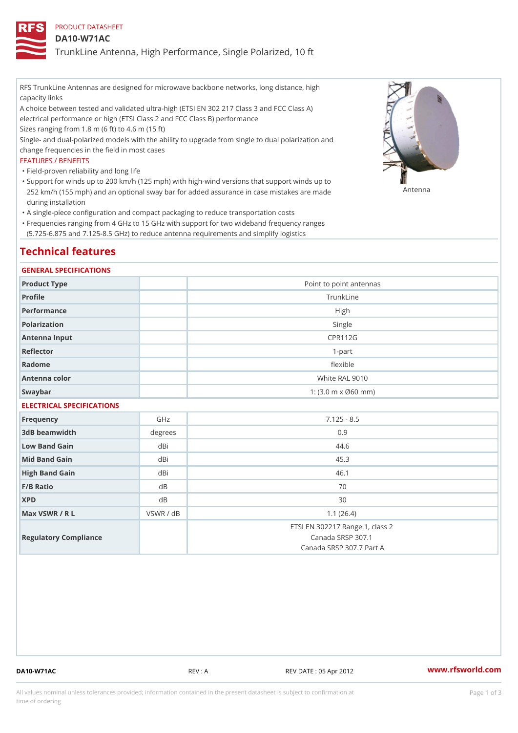## PRODUCT DATASHEET

#### DA10-W71AC

TrunkLine Antenna, High Performance, Single Polarized, 10 ft

RFS TrunkLine Antennas are designed for microwave backbone networks, long distance, high capacity links

A choice between tested and validated ultra-high (ETSI EN 302 217 Class 3 and FCC Class A) electrical performance or high (ETSI Class 2 and FCC Class B) performance

Sizes ranging from 1.8 m (6 ft) to 4.6 m (15 ft)

Single- and dual-polarized models with the ability to upgrade from single to dual polarization and change frequencies in the field in most cases

#### FEATURES / BENEFITS

"Field-proven reliability and long life

- Support for winds up to 200 km/h (125 mph) with high-wind versions that support winds up to " 252 km/h (155 mph) and an optional sway bar for added assurance in case m 48 #8 R B & are made during installation
- "A single-piece configuration and compact packaging to reduce transportation costs
- Frequencies ranging from 4 GHz to 15 GHz with support for two wideband frequency ranges " (5.725-6.875 and 7.125-8.5 GHz) to reduce antenna requirements and simplify logistics

# Technical features

#### GENERAL SPECIFICATIONS

| Product Type  | Point to point antennas                                 |
|---------------|---------------------------------------------------------|
| Profile       | TrunkLine                                               |
| Performance   | High                                                    |
| Polarization  | Single                                                  |
| Antenna Input | CPR112G                                                 |
| Reflector     | $1-part$                                                |
| Radome        | flexible                                                |
| Antenna color | White RAL 9010                                          |
| Swaybar       | 1: $(3.0 \, \text{m} \times \emptyset 60 \, \text{mm})$ |

## ELECTRICAL SPECIFICATIONS

| Frequency             | GHz        | $7.125 - 8.5$                                                                    |
|-----------------------|------------|----------------------------------------------------------------------------------|
| 3dB beamwidth         | $degree$ : | 0.9                                                                              |
| Low Band Gain         | dBi        | 44.6                                                                             |
| Mid Band Gain         | dBi        | 45.3                                                                             |
| High Band Gain        | dBi        | 46.1                                                                             |
| $F/B$ Ratio           | d B        | 70                                                                               |
| <b>XPD</b>            | d B        | 30                                                                               |
| Max VSWR / R L        | VSWR / dB  | 1.1(26.4)                                                                        |
| Regulatory Compliance |            | ETSI EN 302217 Range 1, class 2<br>Canada SRSP 307.1<br>Canada SRSP 307.7 Part A |

DA10-W71AC REV : A REV DATE : 05 Apr 2012 [www.](https://www.rfsworld.com)rfsworld.com

All values nominal unless tolerances provided; information contained in the present datasheet is subject to Pcapgeign mation time of ordering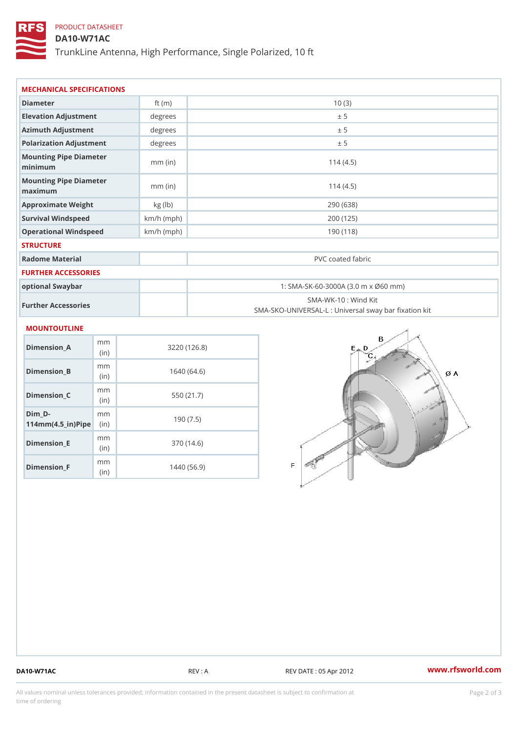## PRODUCT DATASHEET

(in)

m<sub>m</sub> (in)

Dimension\_F

DA10-W71AC

TrunkLine Antenna, High Performance, Single Polarized, 10 ft

| MECHANICAL SPECIFICATIONS                                 |             |              |                                                                          |  |  |
|-----------------------------------------------------------|-------------|--------------|--------------------------------------------------------------------------|--|--|
| Diameter                                                  |             | ft $(m)$     | 10(3)                                                                    |  |  |
| Elevation Adjustment                                      |             | degrees      | ± 5                                                                      |  |  |
| Azimuth Adjustment                                        |             | degrees      | ± 5                                                                      |  |  |
| Polarization Adjustment                                   |             | degrees      | ± 5                                                                      |  |  |
| Mounting Pipe Diameter<br>minimum                         |             | $mm$ (in)    | 114(4.5)                                                                 |  |  |
| Mounting Pipe Diameter<br>maximum                         |             | $mm$ (in)    | 114(4.5)                                                                 |  |  |
| Approximate Weight                                        |             | kg (lb)      | 290 (638)                                                                |  |  |
| Survival Windspeed                                        |             | $km/h$ (mph) | 200 (125)                                                                |  |  |
| Operational Windspeed                                     |             | $km/h$ (mph) | 190 (118)                                                                |  |  |
| <b>STRUCTURE</b>                                          |             |              |                                                                          |  |  |
| Radome Material                                           |             |              | PVC coated fabric                                                        |  |  |
| FURTHER ACCESSORIES                                       |             |              |                                                                          |  |  |
| optional Swaybar                                          |             |              | 1: SMA-SK-60-3000A (3.0 m x Ø60 mm)                                      |  |  |
| Further Accessories                                       |             |              | SMA-WK-10: Wind Kit<br>SMA-SKO-UNIVERSAL-L : Universal sway bar fixation |  |  |
| MOUNTOUTLINE                                              |             |              |                                                                          |  |  |
| $Dimension_A$                                             | m m<br>(in) |              | 3220(126.8)                                                              |  |  |
| $Dimen sion_B$                                            | m m<br>(in) |              | 1640(64.6)                                                               |  |  |
| $Dimension_C$                                             | m m<br>(in) |              | 550 (21.7)                                                               |  |  |
| $Dim_D - D -$<br>$114$ m m (4.5 _ ir ) $\mathbb{R}$ imple | m m         |              | 190(7.5)                                                                 |  |  |
| $Dimension$ = E                                           | m m         |              | 370 (14.6)                                                               |  |  |

1440 (56.9)

DA10-W71AC REV : A REV DATE : 05 Apr 2012 [www.](https://www.rfsworld.com)rfsworld.com